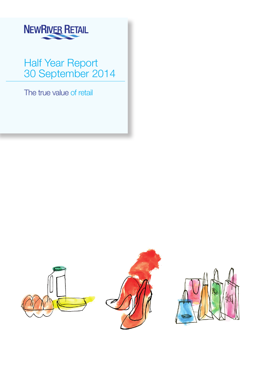

Half Year Report 30 September 2014

The true value of retail

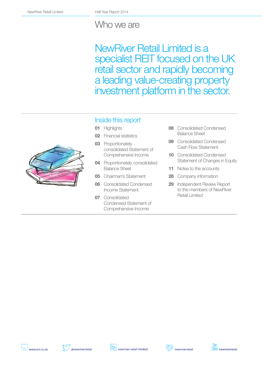## Who we are

NewRiver Retail Limited is a specialist REIT focused on the UK retail sector and rapidly becoming a leading value-creating property investment platform in the sector.



### Inside this report

- 01 Highlights
- 02 Financial statistics
- 03 Proportionately consolidated Statement of Comprehensive Income
- 04 Proportionately consolidated Balance Sheet
- 05 Chairman's Statement
- **06** Consolidated Condensed Income Statement
- 07 Consolidated Condensed Statement of Comprehensive Income
- 08 Consolidated Condensed Balance Sheet
- 09 Consolidated Condensed Cash Flow Statement
- 10 Consolidated Condensed Statement of Changes in Equity
- 11 Notes to the accounts
- 28 Company information
- 29 Independent Review Report to the members of NewRiver Retail Limited







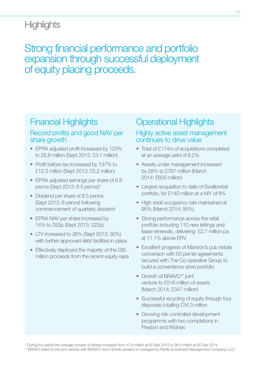# **Highlights**

# Strong financial performance and portfolio expansion through successful deployment of equity placing proceeds.

# Financial Highlights

## Record profits and good NAV per share growth

- EPRA adjusted profit increased by 120% to £6.8 million (Sept 2013: £3.1 million)
- Profit before tax increased by 137% to £12.3 million (Sept 2013: £5.2 million)
- EPRA adjusted earnings per share of 6.8 pence (Sept 2013: 6.5 pence)\*
- Dividend per share of 8.5 pence (Sept 2013: 6 pence) following commencement of quarterly dividend
- EPRA NAV per share increased by 14% to 252p (Sept 2013: 222p)
- LTV increased to 38% (Sept 2013: 30%) with further approved debt facilities in place
- Effectively deployed the majority of the £85 million proceeds from the recent equity raise

# Operational Highlights

## Highly active asset management continues to drive value

- Total of £174m of acquisitions completed at an average yield of 8.2%
- Assets under management increased by 28% to £767 million (March 2014: £600 million)
- Largest acquisition to date of Swallowtail portfolio, for £140 million at a NIY of 8%
- High retail occupancy rate maintained at 95% (March 2014: 95%)
- Strong performance across the retail portfolio including 110 new lettings and lease renewals, delivering £2.7 million pa at 11.1% above ERV
- Excellent progress of Marston's pub estate conversion with 63 pre-let agreements secured with The Co-operative Group to build a convenience store portfolio
- Growth of BRAVO\*\* joint venture to £516 million of assets (March 2014: £347 million)
- Successful recycling of equity through four disposals totalling £34.3 million
- Growing risk-controlled development programme with two completions in Preston and Widnes
- \* During the period the average number of shares increased from 47.8 million at 30 Sep 2013 to 99.5 million at 30 Sep 2014.
- \*\* BRAVO refers to the joint venture with BRAVO I and II (funds advised or managed by Pacific Investment Management Company LLC).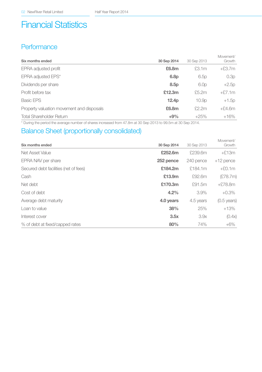# Financial Statistics

## **Performance**

| Six months ended                          | 30 Sep 2014       | 30 Sep 2013       | Movement/<br>Growth |
|-------------------------------------------|-------------------|-------------------|---------------------|
| EPRA adjusted profit                      | £6.8m             | £3.1m             | $+£3.7m$            |
| EPRA adjusted EPS*                        | 6.8 <sub>p</sub>  | 6.5p              | 0.3p                |
| Dividends per share                       | 8.5 <sub>p</sub>  | 6.0 <sub>p</sub>  | $+2.5p$             |
| Profit before tax                         | £12.3m            | £5.2m             | $+$ $\Sigma$ 7.1m   |
| <b>Basic EPS</b>                          | 12.4 <sub>p</sub> | 10.9 <sub>D</sub> | $+1.5p$             |
| Property valuation movement and disposals | £6.8m             | £2.2m             | $+54.6m$            |
| <b>Total Shareholder Return</b>           | $+9%$             | $+25%$            | $+16%$              |

\* During the period the average number of shares increased from 47.8m at 30 Sep 2013 to 99.5m at 30 Sep 2014.

## Balance Sheet (proportionally consolidated)

| Six months ended                      | 30 Sep 2014 | 30 Sep 2013 | Movement/<br>Growth   |
|---------------------------------------|-------------|-------------|-----------------------|
| Net Asset Value                       | £252.6m     | £239.6m     | $+£13m$               |
| EPRA NAV per share                    | 252 pence   | 240 pence   | $+12$ pence           |
| Secured debt facilities (net of fees) | £184.2m     | £184.1m     | $+£0.1m$              |
| Cash                                  | £13.9m      | £92.6m      | (E78.7m)              |
| Net debt                              | £170.3m     | £91.5m      | $+£78.8m$             |
| Cost of debt                          | 4.2%        | 3.9%        | $+0.3\%$              |
| Average debt maturity                 | 4.0 years   | 4.5 years   | $(0.5 \text{ years})$ |
| Loan to value                         | 38%         | 25%         | $+13%$                |
| Interest cover                        | 3.5x        | 3.9x        | (0.4x)                |
| % of debt at fixed/capped rates       | 80%         | 74%         | $+6\%$                |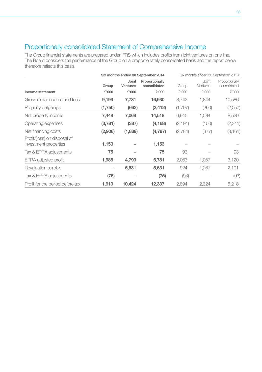## Proportionally consolidated Statement of Comprehensive Income

The Group financial statements are prepared under IFRS which includes profits from joint ventures on one line. The Board considers the performance of the Group on a proportionately consolidated basis and the report below therefore reflects this basis.

|                                                       | Six months ended 30 September 2014 |                          |                                | Six months ended 30 September 2013 |                   |                                |
|-------------------------------------------------------|------------------------------------|--------------------------|--------------------------------|------------------------------------|-------------------|--------------------------------|
|                                                       | Group                              | Joint<br><b>Ventures</b> | Proportionally<br>consolidated | Group                              | Joint<br>Ventures | Proportionally<br>consolidated |
| Income statement                                      | £'000                              | £'000                    | £'000                          | £'000                              | £'000             | £'000                          |
| Gross rental income and fees                          | 9,199                              | 7,731                    | 16,930                         | 8,742                              | 1,844             | 10,586                         |
| Property outgoings                                    | (1,750)                            | (662)                    | (2, 412)                       | (1,797)                            | (260)             | (2,057)                        |
| Net property income                                   | 7,449                              | 7,069                    | 14,518                         | 6,945                              | 1,584             | 8,529                          |
| Operating expenses                                    | (3,781)                            | (387)                    | (4, 168)                       | (2, 191)                           | (150)             | (2, 341)                       |
| Net financing costs                                   | (2,908)                            | (1,889)                  | (4,797)                        | (2,784)                            | (377)             | (3, 161)                       |
| Profit/(loss) on disposal of<br>investment properties | 1,153                              |                          | 1,153                          |                                    |                   |                                |
| Tax & EPRA adjustments                                | 75                                 |                          | 75                             | 93                                 |                   | 93                             |
| EPRA adjusted profit                                  | 1,988                              | 4,793                    | 6,781                          | 2,063                              | 1,057             | 3,120                          |
| Revaluation surplus                                   |                                    | 5,631                    | 5,631                          | 924                                | 1,267             | 2,191                          |
| Tax & EPRA adjustments                                | (75)                               |                          | (75)                           | (93)                               |                   | (93)                           |
| Profit for the period before tax                      | 1,913                              | 10,424                   | 12,337                         | 2,894                              | 2,324             | 5,218                          |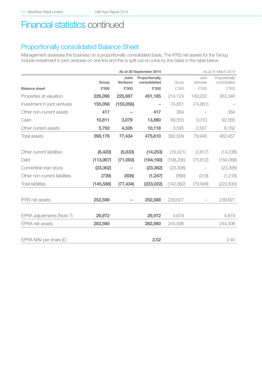# Financial statistics continued

## Proportionally consolidated Balance Sheet

Management assesses the business on a proportionally consolidated basis. The IFRS net assets for the Group include investment in joint ventures on one line and this is split out on a line by line basis in the table below.

|                               | As at 30 September 2014 |                          |                                | As at 31 March 2014 |                   |                                |
|-------------------------------|-------------------------|--------------------------|--------------------------------|---------------------|-------------------|--------------------------------|
|                               | Group                   | Joint<br><b>Ventures</b> | Proportionally<br>consolidated | Group               | Joint<br>Ventures | Proportionally<br>consolidated |
| <b>Balance sheet</b>          | £'000                   | £'000                    | £'000                          | £'000               | £'000             | £'000                          |
| Properties at valuation       | 226,098                 | 225,087                  | 451,185                        | 214,124             | 149,222           | 363,346                        |
| Investment in joint ventures  | 155,058                 | (155,058)                |                                | 74,851              | (74, 851)         |                                |
| Other non-current assets      | 417                     |                          | 417                            | 384                 |                   | 384                            |
| Cash                          | 10,811                  | 3.079                    | 13,890                         | 89.555              | 3,010             | 92,565                         |
| Other current assets          | 5,792                   | 4,326                    | 10,118                         | 3,595               | 2,567             | 6,162                          |
| Total assets                  | 398,176                 | 77.434                   | 475,610                        | 382.509             | 79.948            | 462.457                        |
| Other current liabilities     | (8,420)                 | (5,833)                  | (14, 253)                      | (10, 421)           | (3,817)           | (14, 238)                      |
| Debt                          | (113,067)               | (71,093)                 | (184, 160)                     | (108, 256)          | (75, 812)         | (184,068)                      |
| Convertible Ioan stock        | (23, 362)               | -                        | (23, 362)                      | (23,306)            |                   | (23,306)                       |
| Other non-current liabilities | (739)                   | (508)                    | (1, 247)                       | (899)               | (319)             | (1,218)                        |
| <b>Total liabilities</b>      | (145, 588)              | (77, 434)                | (223, 022)                     | (142, 882)          | (79,948)          | (222, 830)                     |
| <b>IFRS net assets</b>        | 252,588                 |                          | 252,588                        | 239,627             |                   | 239,627                        |
| EPRA adjustments (Note 7)     | 29,972                  |                          | 29,972                         | 4,879               |                   | 4,879                          |
| <b>EPRA</b> net assets        | 282,560                 |                          | 282,560                        | 244.506             |                   | 244,506                        |
|                               |                         |                          |                                |                     |                   |                                |
| EPRA NAV per share $(E)$      |                         |                          | 2.52                           |                     |                   | 2.40                           |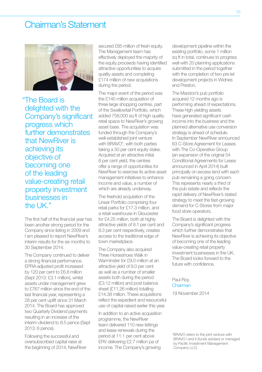# Chairman's Statement



"The Board is delighted with the Company's significant progress which further demonstrates that NewRiver is achieving its objective of becoming one of the leading value-creating retail property investment businesses in the  $UK$ "

The first half of the financial year has been another strong period for the Company since listing in 2009 and I am pleased to report NewRiver's interim results for the six months to 30 September 2014.

The Company continued to deliver a strong financial performance. EPRA adjusted profit increased by 120 per cent to £6.8 million (Sept 2013: £3.1 million), whilst assets under management grew to £767 million since the end of the last financial year, representing a 28 per cent uplift since 31 March 2014. The Board has approved two Quarterly Dividend payments resulting in an increase of the interim dividend to 8.5 pence (Sept 2013: 6 pence).

Following the successful and oversubscribed capital raise at the beginning of 2014, NewRiver secured £85 million of fresh equity. The Management team has effectively deployed the majority of the equity proceeds having identified attractive opportunities to acquire quality assets and completing £174 million of new acquisitions during the period.

The major event of the period was the £140 million acquisition of three large shopping centres, part of the Swallowtail Portfolio, which added 758,000 sq ft of high quality retail space to NewRiver's growing asset base. The acquisition was funded through the Company's well-established joint venture with BRAVO\*, with both parties taking a 50 per cent equity stake. Acquired at an attractive initial 8 per cent yield, the centres offer a range of opportunities for NewRiver to exercise its active asset management initiatives to enhance income and value, a number of which are already underway.

The freehold acquisition of the Linear Portfolio comprising four retail parks for £17.3 million, and a retail warehouse in Gloucester for £4.25 million, both at highly attractive yields of 9.1 per cent and 8.3 per cent respectively, creates access to the traditional edge of town marketplace.

The Company also acquired Three Horseshoes Walk in Warminster for £9.0 million at an attractive yield of 9.0 per cent as well as a number of smaller assets both during the period (£3.12 million) and post balance sheet (£11.26 million) totalling £14.38 million. These acquisitions reflect the expedient and resourceful use of capital raised earlier this year.

In addition to an active acquisition programme, the NewRiver team delivered 110 new lettings and lease renewals during the period at 11.1 per cent above ERV delivering £2.7 million pa of income. The Company's growing

development pipeline within the existing portfolio, some 1 million sq ft in total, continues to progress well with 20 planning applications submitted in the period together with the completion of two pre let development projects in Widnes and Preston.

The Marston's pub portfolio acquired 12 months ago is performing ahead of expectations. These high vielding assets have generated significant cash income into the business and the planned alternative use conversion strategy is ahead of schedule. In September NewRiver announced 63 C-Store Agreement for Leases with The Co-Operative Group (an expansion of the original 54 Conditional Agreements for Lease announced in April 2014) built principally on excess land with each pub remaining a going concern. This represents nearly a third of the pub estate and reflects the rapid delivery of NewRiver's stated strategy to meet the fast-growing demand for C-Stores from major food store operators.

The Board is delighted with the Company's significant progress which further demonstrates that NewRiver is achieving its objective of becoming one of the leading value-creating retail property investment businesses in the UK. The Board looks forward to the future with confidence.

#### Paul Roy **Chairman**

19 November 2014

\*BRAVO refers to the joint venture with BRAVO I and II (funds advised or managed by Pacific Investment Management Company LLC)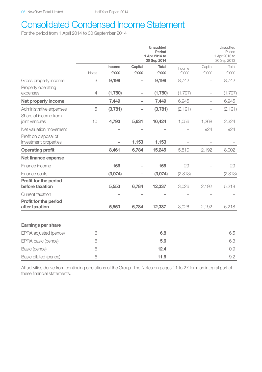# Consolidated Condensed Income Statement

For the period from 1 April 2014 to 30 September 2014

|                         |                |         |         | <b>Unaudited</b><br>Period<br>1 Apr 2014 to<br>30 Sep 2014 |          |                          | Unaudited<br>Period<br>1 Apr 2013 to<br>30 Sep 2013 |
|-------------------------|----------------|---------|---------|------------------------------------------------------------|----------|--------------------------|-----------------------------------------------------|
|                         |                | Income  | Capital | Total                                                      | Income   | Capital                  | Total                                               |
|                         | Notes          | £'000   | £'000   | £'000                                                      | £'000    | £'000                    | £'000                                               |
| Gross property income   | 3              | 9,199   |         | 9,199                                                      | 8,742    |                          | 8,742                                               |
| Property operating      |                |         |         |                                                            |          |                          |                                                     |
| expenses                | $\overline{4}$ | (1,750) |         | (1,750)                                                    | (1,797)  | $\overline{\phantom{0}}$ | (1,797)                                             |
| Net property income     |                | 7,449   | -       | 7,449                                                      | 6,945    |                          | 6,945                                               |
| Administrative expenses | 5              | (3,781) |         | (3,781)                                                    | (2, 191) |                          | (2, 191)                                            |
| Share of income from    |                |         |         |                                                            |          |                          |                                                     |
| joint ventures          | 10             | 4,793   | 5,631   | 10,424                                                     | 1.056    | 1.268                    | 2,324                                               |
| Net valuation movement  |                |         |         |                                                            |          | 924                      | 924                                                 |
| Profit on disposal of   |                |         |         |                                                            |          |                          |                                                     |
| investment properties   |                |         | 1,153   | 1,153                                                      |          |                          |                                                     |
| Operating profit        |                | 8,461   | 6,784   | 15,245                                                     | 5,810    | 2,192                    | 8,002                                               |
| Net finance expense     |                |         |         |                                                            |          |                          |                                                     |
| Finance income          |                | 166     |         | 166                                                        | 29       |                          | 29                                                  |
| Finance costs           |                | (3,074) |         | (3,074)                                                    | (2, 813) |                          | (2, 813)                                            |
| Profit for the period   |                |         |         |                                                            |          |                          |                                                     |
| before taxation         |                | 5,553   | 6,784   | 12,337                                                     | 3,026    | 2,192                    | 5,218                                               |
| Current taxation        |                |         |         |                                                            |          |                          |                                                     |
| Profit for the period   |                |         |         |                                                            |          |                          |                                                     |
| after taxation          |                | 5,553   | 6,784   | 12,337                                                     | 3,026    | 2,192                    | 5,218                                               |
| Earnings per share      |                |         |         |                                                            |          |                          |                                                     |
| EPRA adjusted (pence)   | 6              |         |         | 6.8                                                        |          |                          | 6.5                                                 |
|                         |                |         |         |                                                            |          |                          |                                                     |
| EPRA basic (pence)      | 6              |         |         | 5.6                                                        |          |                          | 6.3                                                 |
| Basic (pence)           | 6              |         |         | 12.4                                                       |          |                          | 10.9                                                |
| Basic diluted (pence)   | 6              |         |         | 11.6                                                       |          |                          | 9.2                                                 |

All activities derive from continuing operations of the Group. The Notes on pages 11 to 27 form an integral part of these financial statements.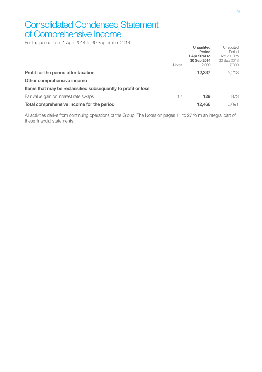# Consolidated Condensed Statement of Comprehensive Income

For the period from 1 April 2014 to 30 September 2014

|                                                               |       | Unaudited     | Unaudited     |
|---------------------------------------------------------------|-------|---------------|---------------|
|                                                               |       | Period        | Period        |
|                                                               |       | 1 Apr 2014 to | 1 Apr 2013 to |
|                                                               |       | 30 Sep 2014   | 30 Sep 2013   |
|                                                               | Notes | £'000         | £'000         |
| Profit for the period after taxation                          |       | 12.337        | 5,218         |
| Other comprehensive income                                    |       |               |               |
| Items that may be reclassified subsequently to profit or loss |       |               |               |
| Fair value gain on interest rate swaps                        | 12    | 129           | 873           |
| Total comprehensive income for the period                     |       | 12,466        | 6.091         |

All activities derive from continuing operations of the Group. The Notes on pages 11 to 27 form an integral part of these financial statements.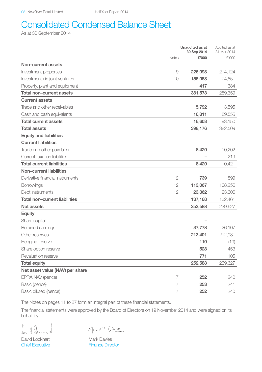# Consolidated Condensed Balance Sheet

As at 30 September 2014

|                                     | Unaudited as at<br>30 Sep 2014 |         | Audited as at<br>31 Mar 2014 |
|-------------------------------------|--------------------------------|---------|------------------------------|
|                                     | Notes                          | £'000   | £'000                        |
| Non-current assets                  |                                |         |                              |
| Investment properties               | 9                              | 226,098 | 214,124                      |
| Investments in joint ventures       | 10                             | 155,058 | 74,851                       |
| Property, plant and equipment       |                                | 417     | 384                          |
| Total non-current assets            |                                | 381,573 | 289,359                      |
| <b>Current assets</b>               |                                |         |                              |
| Trade and other receivables         |                                | 5,792   | 3,595                        |
| Cash and cash equivalents           |                                | 10,811  | 89,555                       |
| <b>Total current assets</b>         |                                | 16,603  | 93,150                       |
| <b>Total assets</b>                 |                                | 398,176 | 382,509                      |
| <b>Equity and liabilities</b>       |                                |         |                              |
| <b>Current liabilities</b>          |                                |         |                              |
| Trade and other payables            |                                | 8,420   | 10,202                       |
| <b>Current taxation liabilities</b> |                                |         | 219                          |
| <b>Total current liabilities</b>    |                                | 8,420   | 10,421                       |
| Non-current liabilities             |                                |         |                              |
| Derivative financial instruments    | 12                             | 739     | 899                          |
| Borrowings                          | 12                             | 113,067 | 108,256                      |
| Debt instruments                    | 12                             | 23,362  | 23,306                       |
| Total non-current liabilities       |                                | 137,168 | 132,461                      |
| Net assets                          |                                | 252,588 | 239,627                      |
| Equity                              |                                |         |                              |
| Share capital                       |                                |         |                              |
| Retained earnings                   |                                | 37,778  | 26,107                       |
| Other reserves                      |                                | 213,401 | 212,981                      |
| Hedging reserve                     |                                | 110     | (19)                         |
| Share option reserve                |                                | 528     | 453                          |
| Revaluation reserve                 |                                | 771     | 105                          |
| <b>Total equity</b>                 |                                | 252,588 | 239,627                      |
| Net asset value (NAV) per share     |                                |         |                              |
| EPRA NAV (pence)                    | 7                              | 252     | 240                          |
| Basic (pence)                       | 7                              | 253     | 241                          |
| Basic diluted (pence)               | 7                              | 252     | 240                          |

The Notes on pages 11 to 27 form an integral part of these financial statements.

The financial statements were approved by the Board of Directors on 19 November 2014 and were signed on its behalf by:

David Lockhart Mark Davies

Mary A.P. DE

**Chief Executive Finance Director**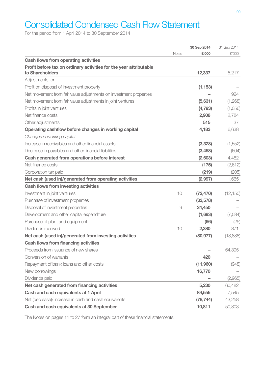# Consolidated Condensed Cash Flow Statement

For the period from 1 April 2014 to 30 September 2014

|                                                                    |       | 30 Sep 2014 | 31 Sep 2014 |
|--------------------------------------------------------------------|-------|-------------|-------------|
|                                                                    | Notes | £'000       | £'000       |
| Cash flows from operating activities                               |       |             |             |
| Profit before tax on ordinary activities for the year attributable |       |             |             |
| to Shareholders                                                    |       | 12,337      | 5,217       |
| Adiustments for:                                                   |       |             |             |
| Profit on disposal of investment property                          |       | (1, 153)    |             |
| Net movement from fair value adjustments on investment properties  |       |             | 924         |
| Net movement from fair value adjustments in joint ventures         |       | (5,631)     | (1,268)     |
| Profits in joint ventures                                          |       | (4, 793)    | (1,056)     |
| Net finance costs                                                  |       | 2,908       | 2,784       |
| Other adjustments                                                  |       | 515         | 37          |
| Operating cashflow before changes in working capital               |       | 4,183       | 6.638       |
| Changes in working capital:                                        |       |             |             |
| Increase in receivables and other financial assets                 |       | (3,328)     | (1,552)     |
| Decrease in payables and other financial liabilities               |       | (3,458)     | (604)       |
| Cash generated from operations before interest                     |       | (2,603)     | 4,482       |
| Net finance costs                                                  |       | (175)       | (2,612)     |
| Corporation tax paid                                               |       | (219)       | (205)       |
| Net cash (used in)/generated from operating activities             |       | (2,997)     | 1,665       |
| Cash flows from investing activities                               |       |             |             |
| Investment in joint ventures                                       | 10    | (72, 470)   | (12, 150)   |
| Purchase of investment properties                                  |       | (33,578)    |             |
| Disposal of investment properties                                  | 9     | 24,450      |             |
| Development and other capital expenditure                          |       | (1,693)     | (7,584)     |
| Purchase of plant and equipment                                    |       | (66)        | (25)        |
| Dividends received                                                 | 10    | 2,380       | 871         |
| Net cash (used in)/generated from investing activities             |       | (80, 977)   | (18,888)    |
| Cash flows from financing activities                               |       |             |             |
| Proceeds from issuance of new shares                               |       |             | 64,395      |
| Conversion of warrants                                             |       | 420         |             |
| Repayment of bank loans and other costs                            |       | (11,960)    | (948)       |
| New borrowings                                                     |       | 16,770      |             |
| Dividends paid                                                     |       |             | (2,965)     |
| Net cash generated from financing activities                       |       | 5,230       | 60,482      |
| Cash and cash equivalents at 1 April                               |       | 89,555      | 7,545       |
| Net (decrease)/ increase in cash and cash equivalents              |       | (78, 744)   | 43,258      |
| Cash and cash equivalents at 30 September                          |       | 10,811      | 50,803      |

The Notes on pages 11 to 27 form an integral part of these financial statements.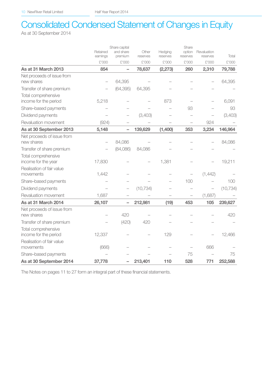## Consolidated Condensed Statement of Changes in Equity As at 30 September 2014

|                            |                          | Share capital            |                   |                     | Share              |                          |           |
|----------------------------|--------------------------|--------------------------|-------------------|---------------------|--------------------|--------------------------|-----------|
|                            | Retained<br>earnings     | and share<br>premium     | Other<br>reserves | Hedging<br>reserves | option<br>reserves | Revaluation<br>reserves  | Total     |
|                            | £'000                    | £'000                    | £'000             | £'000               | £'000              | £'000                    | £'000     |
| As at 31 March 2013        | 854                      | -                        | 78,637            | (2, 273)            | 260                | 2,310                    | 79,788    |
| Net proceeds of issue from |                          |                          |                   |                     |                    |                          |           |
| new shares                 | $\overline{\phantom{0}}$ | 64,395                   |                   |                     |                    |                          | 64,395    |
| Transfer of share premium  |                          | (64, 395)                | 64,395            |                     |                    |                          |           |
| Total comprehensive        |                          |                          |                   |                     |                    |                          |           |
| income for the period      | 5,218                    |                          |                   | 873                 |                    |                          | 6,091     |
| Share-based payments       |                          |                          |                   |                     | 93                 |                          | 93        |
| Dividend payments          |                          |                          | (3,403)           |                     |                    |                          | (3,403)   |
| Revaluation movement       | (924)                    |                          |                   |                     |                    | 924                      |           |
| As at 30 September 2013    | 5,148                    | -                        | 139,629           | (1,400)             | 353                | 3,234                    | 146,964   |
| Net proceeds of issue from |                          |                          |                   |                     |                    |                          |           |
| new shares                 |                          | 84,086                   |                   |                     |                    |                          | 84,086    |
| Transfer of share premium  |                          | (84,086)                 | 84,086            |                     |                    |                          |           |
| Total comprehensive        |                          |                          |                   |                     |                    |                          |           |
| income for the year        | 17,830                   |                          |                   | 1,381               |                    |                          | 19,211    |
| Realisation of fair value  |                          |                          |                   |                     |                    |                          |           |
| movements                  | 1,442                    |                          |                   |                     |                    | (1,442)                  |           |
| Share-based payments       |                          |                          |                   |                     | 100                |                          | 100       |
| Dividend payments          |                          |                          | (10, 734)         |                     |                    | $\overline{\phantom{0}}$ | (10, 734) |
| Revaluation movement       | 1,687                    |                          |                   |                     |                    | (1,687)                  |           |
| As at 31 March 2014        | 26,107                   | $\overline{\phantom{a}}$ | 212,981           | (19)                | 453                | 105                      | 239,627   |
| Net proceeds of issue from |                          |                          |                   |                     |                    |                          |           |
| new shares                 |                          | 420                      |                   |                     |                    |                          | 420       |
| Transfer of share premium  |                          | (420)                    | 420               |                     |                    |                          |           |
| Total comprehensive        |                          |                          |                   |                     |                    |                          |           |
| income for the period      | 12,337                   |                          |                   | 129                 |                    |                          | 12,466    |
| Realisation of fair value  |                          |                          |                   |                     |                    |                          |           |
| movements                  | (666)                    |                          |                   |                     |                    | 666                      |           |
| Share-based payments       |                          |                          |                   |                     | 75                 |                          | 75        |
| As at 30 September 2014    | 37,778                   |                          | 213.401           | 110                 | 528                | 771                      | 252,588   |

The Notes on pages 11 to 27 form an integral part of these financial statements.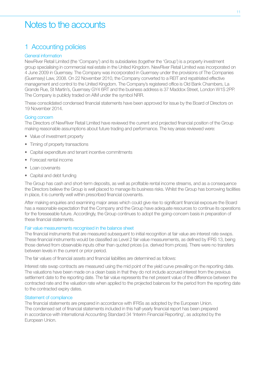# Notes to the accounts

## 1 Accounting policies

#### General information

NewRiver Retail Limited (the 'Company') and its subsidiaries (together the 'Group') is a property investment group specialising in commercial real estate in the United Kingdom. NewRiver Retail Limited was incorporated on 4 June 2009 in Guernsey. The Company was incorporated in Guernsey under the provisions of The Companies (Guernsey) Law, 2008. On 22 November 2010, the Company converted to a REIT and repatriated effective management and control to the United Kingdom. The Company's registered office is Old Bank Chambers, La Grande Rue, St Martin's, Guernsey GY4 6RT and the business address is 37 Maddox Street, London W1S 2PP. The Company is publicly traded on AIM under the symbol NRR.

These consolidated condensed financial statements have been approved for issue by the Board of Directors on 19 November 2014.

#### Going concern

The Directors of NewRiver Retail Limited have reviewed the current and projected financial position of the Group making reasonable assumptions about future trading and performance. The key areas reviewed were:

- Value of investment property
- Timing of property transactions
- Capital expenditure and tenant incentive commitments
- Forecast rental income
- Loan covenants
- Capital and debt funding

The Group has cash and short-term deposits, as well as profitable rental income streams, and as a consequence the Directors believe the Group is well placed to manage its business risks. Whilst the Group has borrowing facilities in place, it is currently well within prescribed financial covenants.

After making enquiries and examining major areas which could give rise to significant financial exposure the Board has a reasonable expectation that the Company and the Group have adequate resources to continue its operations for the foreseeable future. Accordingly, the Group continues to adopt the going-concern basis in preparation of these financial statements.

#### Fair value measurements recognised in the balance sheet

The financial instruments that are measured subsequent to initial recognition at fair value are interest rate swaps. These financial instruments would be classified as Level 2 fair value measurements, as defined by IFRS 13, being those derived from observable inputs other than quoted prices (i.e. derived from prices). There were no transfers between levels in the current or prior period.

The fair values of financial assets and financial liabilities are determined as follows:

Interest rate swap contracts are measured using the mid point of the yield curve prevailing on the reporting date. The valuations have been made on a clean basis in that they do not include accrued interest from the previous settlement date to the reporting date. The fair value represents the net present value of the difference between the contracted rate and the valuation rate when applied to the projected balances for the period from the reporting date to the contracted expiry dates.

#### Statement of compliance

The financial statements are prepared in accordance with IFRSs as adopted by the European Union. The condensed set of financial statements included in this half-yearly financial report has been prepared in accordance with International Accounting Standard 34 'Interim Financial Reporting', as adopted by the European Union.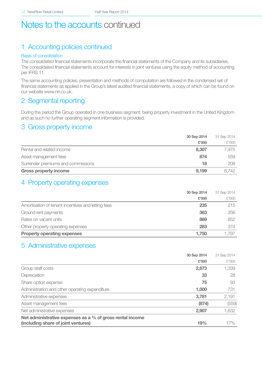## 1 Accounting policies continued

#### Basis of consolidation

The consolidated financial statements incorporate the financial statements of the Company and its subsidiaries. The consolidated financial statements account for interests in joint ventures using the equity method of accounting per IFRS 11.

The same accounting policies, presentation and methods of computation are followed in the condensed set of financial statements as applied in the Group's latest audited financial statements, a copy of which can be found on our website www.nrr.co.uk.

### 2 Segmental reporting

During the period the Group operated in one business segment, being property investment in the United Kingdom and as such no further operating segment information is provided.

#### 3 Gross property income

|                                    | 30 Sep 2014 | 31 Sep 2014 |
|------------------------------------|-------------|-------------|
|                                    | £'000       | £'000       |
| Rental and related income          | 8.307       | 7.975       |
| Asset management fees              | 874         | 559         |
| Surrender premiums and commissions | 18          | 208         |
| Gross property income              | 9.199       | 8.742       |

### 4 Property operating expenses

|                                                    | 30 Sep 2014 | 31 Sep 2014 |
|----------------------------------------------------|-------------|-------------|
|                                                    | £'000       | £'000       |
| Amortisation of tenant incentives and letting fees | 235         | 215         |
| Ground rent payments                               | 363         | 356         |
| Rates on vacant units                              | 869         | 852         |
| Other property operating expenses                  | 283         | 374         |
| <b>Property operating expenses</b>                 | 1.750       | 1.797       |

### 5 Administrative expenses

|                                                           | 30 Sep 2014 | 31 Sep 2014 |
|-----------------------------------------------------------|-------------|-------------|
|                                                           | £'000       | £'000       |
| Group staff costs                                         | 2,673       | 1,339       |
| Depreciation                                              | 33          | 28          |
| Share option expense                                      | 75          | 93          |
| Administration and other operating expenditure            | 1.000       | 731         |
| Administrative expenses                                   | 3.781       | 2,191       |
| Asset management fees                                     | (874)       | (559)       |
| Net administrative expenses                               | 2,907       | 1,632       |
| Net administrative expenses as a % of gross rental income |             |             |
| (including share of joint ventures)                       | 19%         | 17%         |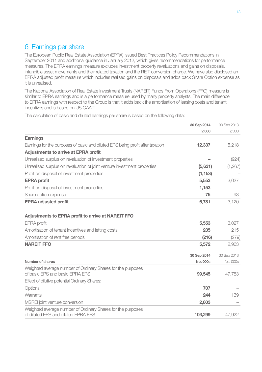## 6 Earnings per share

The European Public Real Estate Association (EPRA) issued Best Practices Policy Recommendations in September 2011 and additional guidance in January 2012, which gives recommendations for performance measures. The EPRA earnings measure excludes investment property revaluations and gains on disposals, intangible asset movements and their related taxation and the REIT conversion charge. We have also disclosed an EPRA adjusted profit measure which includes realised gains on disposals and adds back Share Option expense as it is unrealised.

The National Association of Real Estate Investment Trusts (NAREIT) Funds From Operations (FFO) measure is similar to EPRA earnings and is a performance measure used by many property analysts. The main difference to EPRA earnings with respect to the Group is that it adds back the amortisation of leasing costs and tenant incentives and is based on US GAAP.

The calculation of basic and diluted earnings per share is based on the following data:

|                                                                                                    | 30 Sep 2014 | 30 Sep 2013 |
|----------------------------------------------------------------------------------------------------|-------------|-------------|
|                                                                                                    | £'000       | £'000       |
| Earnings                                                                                           |             |             |
| Earnings for the purposes of basic and diluted EPS being profit after taxation                     | 12,337      | 5,218       |
| Adjustments to arrive at EPRA profit                                                               |             |             |
| Unrealised surplus on revaluation of investment properties                                         |             | (924)       |
| Unrealised surplus on revaluation of joint venture investment properties                           | (5,631)     | (1,267)     |
| Profit on disposal of investment properties                                                        | (1, 153)    |             |
| <b>EPRA</b> profit                                                                                 | 5,553       | 3,027       |
| Profit on disposal of investment properties                                                        | 1,153       |             |
| Share option expense                                                                               | 75          | 93          |
| <b>EPRA adjusted profit</b>                                                                        | 6,781       | 3,120       |
| Adjustments to EPRA profit to arrive at NAREIT FFO                                                 |             |             |
| EPRA profit                                                                                        | 5,553       | 3,027       |
| Amortisation of tenant incentives and letting costs                                                | 235         | 215         |
| Amortisation of rent free periods                                                                  | (216)       | (279)       |
| <b>NAREIT FFO</b>                                                                                  | 5,572       | 2,963       |
|                                                                                                    | 30 Sep 2014 | 30 Sep 2013 |
| Number of shares                                                                                   | No. 000s    | No. 000s    |
| Weighted average number of Ordinary Shares for the purposes                                        |             |             |
| of basic EPS and basic EPRA EPS                                                                    | 99,545      | 47,783      |
| Effect of dilutive potential Ordinary Shares:                                                      |             |             |
| Options                                                                                            | 707         |             |
| Warrants                                                                                           | 244         | 139         |
| MSREI joint venture conversion                                                                     | 2,803       |             |
| Weighted average number of Ordinary Shares for the purposes<br>of diluted EPS and diluted EPRA EPS | 103.299     | 47.922      |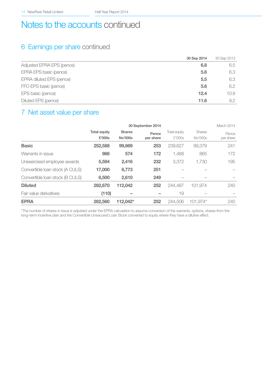## 6 Earnings per share continued

|                           | 30 Sep 2014 | 30 Sep 2013 |
|---------------------------|-------------|-------------|
| Adjusted EPRA EPS (pence) | 6.8         | 6.5         |
| EPRA EPS basic (pence)    | 5.6         | 6.3         |
| EPRA diluted EPS (pence)  | 5.5         | 6.3         |
| FFO EPS basic (pence)     | 5.6         | 6.2         |
| EPS basic (pence)         | 12.4        | 10.9        |
| Diluted EPS (pence)       | 11.6        | 9.2         |

## 7 Net asset value per share

|                                 | 30 September 2014             |                          |                    |                        |                   | March 2014         |
|---------------------------------|-------------------------------|--------------------------|--------------------|------------------------|-------------------|--------------------|
|                                 | <b>Total equity</b><br>£'000s | <b>Shares</b><br>No'000s | Pence<br>per share | Total equity<br>£'000s | Shares<br>No'000s | Pence<br>per share |
| <b>Basic</b>                    | 252,588                       | 99,669                   | 253                | 239.627                | 99.379            | 241                |
| Warrants in issue               | 988                           | 574                      | 172                | 1.488                  | 865               | 172                |
| Unexercised employee awards     | 5.594                         | 2.416                    | 232                | 3.372                  | 1.730             | 195                |
| Convertible Ioan stock (A CULS) | 17,000                        | 6,773                    | 251                |                        |                   |                    |
| Convertible Ioan stock (B CULS) | 6.500                         | 2.610                    | 249                |                        |                   |                    |
| <b>Diluted</b>                  | 282.670                       | 112.042                  | 252                | 244.487                | 101.974           | 240                |
| Fair value derivatives          | (110)                         | -                        |                    | 19                     |                   |                    |
| <b>EPRA</b>                     | 282.560                       | 112.042*                 | 252                | 244,506                | 101.974*          | 240                |

\*The number of shares in issue is adjusted under the EPRA calculation to assume conversion of the warrants, options, shares from the<br>long–term incentive plan and the Convertible Unsecured Loan Stock converted to equity whe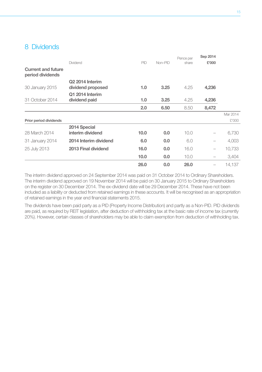## 8 Dividends

|                                               | Dividend                    | PID  | Non-PID | Pence per<br>share | Sep 2014<br>£'000        |          |
|-----------------------------------------------|-----------------------------|------|---------|--------------------|--------------------------|----------|
| <b>Current and future</b><br>period dividends |                             |      |         |                    |                          |          |
|                                               | Q <sub>2</sub> 2014 Interim |      |         |                    |                          |          |
| 30 January 2015                               | dividend proposed           | 1.0  | 3.25    | 4.25               | 4,236                    |          |
|                                               | Q1 2014 Interim             |      |         |                    |                          |          |
| 31 October 2014                               | dividend paid               | 1.0  | 3.25    | 4.25               | 4,236                    |          |
|                                               |                             | 2.0  | 6.50    | 8.50               | 8,472                    |          |
|                                               |                             |      |         |                    |                          | Mar 2014 |
| Prior period dividends                        |                             |      |         |                    |                          | £'000    |
|                                               | 2014 Special                |      |         |                    |                          |          |
| 28 March 2014                                 | interim dividend            | 10.0 | 0.0     | 10.0               |                          | 6,730    |
| 31 January 2014                               | 2014 Interim dividend       | 6.0  | 0.0     | 6.0                |                          | 4,003    |
| 25 July 2013                                  | 2013 Final dividend         | 16.0 | 0.0     | 16.0               | -                        | 10.733   |
|                                               |                             | 10.0 | 0.0     | 10.0               | $\overline{\phantom{m}}$ | 3,404    |
|                                               |                             | 26.0 | 0.0     | 26.0               |                          | 14,137   |

The interim dividend approved on 24 September 2014 was paid on 31 October 2014 to Ordinary Shareholders. The interim dividend approved on 19 November 2014 will be paid on 30 January 2015 to Ordinary Shareholders on the register on 30 December 2014. The ex-dividend date will be 29 December 2014. These have not been included as a liability or deducted from retained earnings in these accounts. It will be recognised as an appropriation of retained earnings in the year end financial statements 2015.

The dividends have been paid party as a PID (Property Income Distribution) and partly as a Non-PID. PID dividends are paid, as required by REIT legislation, after deduction of withholding tax at the basic rate of income tax (currently 20%). However, certain classes of shareholders may be able to claim exemption from deduction of withholding tax.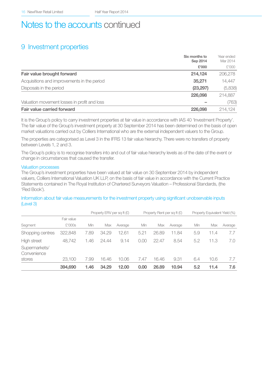## 9 Investment properties

|                                              | Six months to<br>Sep 2014 | Year ended<br>Mar 2014 |
|----------------------------------------------|---------------------------|------------------------|
|                                              | £'000                     | £'000                  |
| Fair value brought forward                   | 214,124                   | 206,278                |
| Acquisitions and improvements in the period  | 35,271                    | 14.447                 |
| Disposals in the period                      | (23, 297)                 | (5,838)                |
|                                              | 226,098                   | 214.887                |
| Valuation movement losses in profit and loss |                           | (763)                  |
| Fair value carried forward                   | 226,098                   | 214.124                |

It is the Group's policy to carry investment properties at fair value in accordance with IAS 40 'Investment Property'. The fair value of the Group's investment property at 30 September 2014 has been determined on the basis of open market valuations carried out by Colliers International who are the external independent valuers to the Group.

The properties are categorised as Level 3 in the IFRS 13 fair value hierarchy. There were no transfers of property between Levels 1, 2 and 3.

The Group's policy is to recognise transfers into and out of fair value hierarchy levels as of the date of the event or change in circumstances that caused the transfer.

#### Valuation processes

The Group's investment properties have been valued at fair value on 30 September 2014 by independent valuers, Colliers International Valuation UK LLP, on the basis of fair value in accordance with the Current Practice Statements contained in The Royal Institution of Chartered Surveyors Valuation – Professional Standards, (the 'Red Book').

#### Information about fair value measurements for the investment property using significant unobservable inputs (Level 3)

|                              |            | Property ERV per sq ft (£) |       |         | Property Rent per sq ft (£) |       |         |     | Property Equivalent Yield (%) |         |
|------------------------------|------------|----------------------------|-------|---------|-----------------------------|-------|---------|-----|-------------------------------|---------|
|                              | Fair value |                            |       |         |                             |       |         |     |                               |         |
| Segment                      | £'000s     | Min                        | Max   | Average | Min                         | Max   | Average | Min | Max                           | Average |
| Shopping centres             | 322.848    | 7.89                       | 34.29 | 12.61   | 5.21                        | 26.89 | 11.84   | 5.9 | 11.4                          | 7.7     |
| High street                  | 48.742     | 1.46                       | 24.44 | 9.14    | 0.00                        | 22.47 | 8.54    | 5.2 | 11.3                          | 7.0     |
| Supermarkets/<br>Convenience |            |                            |       |         |                             |       |         |     |                               |         |
| stores                       | 23.100     | 7.99                       | 16.46 | 10.06   | 7.47                        | 16.46 | 9.31    | 6.4 | 10.6                          | 7.7     |
|                              | 394,690    | 1.46                       | 34.29 | 12.00   | 0.00                        | 26.89 | 10.94   | 5.2 | 11.4                          | 7.6     |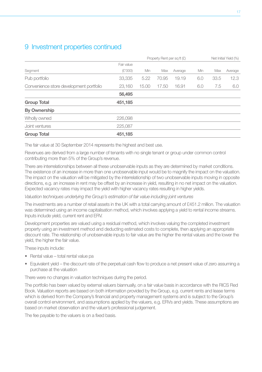## 9 Investment properties continued

|                                         |            | Property Rent per sq ft (£) |       |         |     | Net Initial Yield (%) |         |  |
|-----------------------------------------|------------|-----------------------------|-------|---------|-----|-----------------------|---------|--|
|                                         | Fair value |                             |       |         |     |                       |         |  |
| Segment                                 | (£'000)    | Min                         | Max   | Average | Min | Max                   | Average |  |
| Pub portfolio                           | 33.335     | 5.22                        | 70.95 | 19.19   | 6.0 | 33.5                  | 12.3    |  |
| Convenience store development portfolio | 23,160     | 15.00                       | 17.50 | 16.91   | 6.0 | 7.5                   | 6.0     |  |
|                                         | 56,495     |                             |       |         |     |                       |         |  |
| <b>Group Total</b>                      | 451,185    |                             |       |         |     |                       |         |  |
| By Ownership                            |            |                             |       |         |     |                       |         |  |
| Wholly owned                            | 226,098    |                             |       |         |     |                       |         |  |
| Joint ventures                          | 225,087    |                             |       |         |     |                       |         |  |
| <b>Group Total</b>                      | 451.185    |                             |       |         |     |                       |         |  |

The fair value at 30 September 2014 represents the highest and best use.

Revenues are derived from a large number of tenants with no single tenant or group under common control contributing more than 5% of the Group's revenue.

There are interrelationships between all these unobservable inputs as they are determined by market conditions. The existence of an increase in more than one unobservable input would be to magnify the impact on the valuation. The impact on the valuation will be mitigated by the interrelationship of two unobservable inputs moving in opposite directions, e.g. an increase in rent may be offset by an increase in yield, resulting in no net impact on the valuation. Expected vacancy rates may impact the yield with higher vacancy rates resulting in higher yields.

*Valuation techniques underlying the Group's estimation of fair value including joint ventures*

The investments are a number of retail assets in the UK with a total carrying amount of £451.2 million. The valuation was determined using an income capitalisation method, which involves applying a yield to rental income streams. Inputs include yield, current rent and ERV.

Development properties are valued using a residual method, which involves valuing the completed investment property using an investment method and deducting estimated costs to complete, then applying an appropriate discount rate. The relationship of unobservable inputs to fair value are the higher the rental values and the lower the yield, the higher the fair value.

These inputs include:

- Rental value total rental value pa
- Equivalent yield the discount rate of the perpetual cash flow to produce a net present value of zero assuming a purchase at the valuation

There were no changes in valuation techniques during the period.

The portfolio has been valued by external valuers biannually, on a fair value basis in accordance with the RICS Red Book. Valuation reports are based on both information provided by the Group, e.g. current rents and lease terms which is derived from the Company's financial and property management systems and is subject to the Group's overall control environment, and assumptions applied by the valuers, e.g. ERVs and yields. These assumptions are based on market observation and the valuer's professional judgement.

The fee payable to the valuers is on a fixed basis.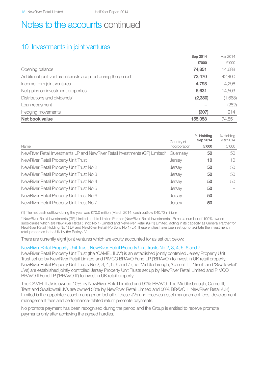## 10 Investments in joint ventures

|                                                                              | Sep 2014 | Mar 2014 |
|------------------------------------------------------------------------------|----------|----------|
|                                                                              | £'000    | £'000    |
| Opening balance                                                              | 74.851   | 14,688   |
| Additional joint venture interests acquired during the period <sup>(1)</sup> | 72,470   | 42,400   |
| Income from joint ventures                                                   | 4,793    | 4,296    |
| Net gains on investment properties                                           | 5,631    | 14,503   |
| Distributions and dividends <sup>(1)</sup>                                   | (2,380)  | (1,668)  |
| Loan repayment                                                               |          | (282)    |
| Hedging movements                                                            | (307)    | 914      |
| Net book value                                                               | 155,058  | 74,851   |

|                                                                              | Country of    | % Holding<br>Sep 2014 | % Holdina<br>Mar 2014 |
|------------------------------------------------------------------------------|---------------|-----------------------|-----------------------|
| Name                                                                         | incorporation | £'000                 | £'000                 |
| NewRiver Retail Investments LP and NewRiver Retail Investments (GP) Limited* | Guernsey      | 50                    | 50                    |
| NewRiver Retail Property Unit Trust                                          | Jersev        | 10                    | 10                    |
| NewRiver Retail Property Unit Trust No.2                                     | Jersev        | 50                    | 50                    |
| NewRiver Retail Property Unit Trust No.3                                     | Jersev        | 50                    | 50                    |
| NewRiver Retail Property Unit Trust No.4                                     | Jersev        | 50                    | 50                    |
| NewRiver Retail Property Unit Trust No.5                                     | Jersey        | 50                    |                       |
| NewRiver Retail Property Unit Trust No.6                                     | Jersev        | 50                    |                       |
| NewRiver Retail Property Unit Trust No.7                                     | Jersey        | 50                    |                       |

(1) The net cash outflow during the year was £70.0 million (March 2014: cash outflow £40.73 million).

\* NewRiver Retail Investments (GP) Limited and its Limited Partner (NewRiver Retail Investments LP) has a number of 100% owned subsidiaries which are NewRiver Retail (Finco No 1) Limited and NewRiver Retail (GP1) Limited, acting in its capacity as General Partner for NewRiver Retail (Holding No 1) LP and NewRiver Retail (Portfolio No 1) LP. These entities have been set up to facilitate the investment in retail properties in the UK by the Barley JV.

There are currently eight joint ventures which are equity accounted for as set out below:

#### NewRiver Retail Property Unit Trust, NewRiver Retail Property Unit Trusts No 2, 3, 4, 5, 6 and 7.

NewRiver Retail Property Unit Trust (the 'CAMEL II JV') is an established jointly controlled Jersey Property Unit Trust set up by NewRiver Retail Limited and PIMCO BRAVO Fund LP ('BRAVO') to invest in UK retail property. NewRiver Retail Property Unit Trusts No 2, 3, 4, 5, 6 and 7 (the 'Middlesbrough, 'Camel III', 'Trent' and 'Swallowtail' JVs) are established jointly controlled Jersey Property Unit Trusts set up by NewRiver Retail Limited and PIMCO BRAVO II Fund LP ('BRAVO II') to invest in UK retail property.

The CAMEL II JV is owned 10% by NewRiver Retail Limited and 90% BRAVO. The Middlesbrough, Camel III, Trent and Swallowtail JVs are owned 50% by NewRiver Retail Limited and 50% BRAVO II. NewRiver Retail (UK) Limited is the appointed asset manager on behalf of these JVs and receives asset management fees, development management fees and performance-related return promote payments.

No promote payment has been recognised during the period and the Group is entitled to receive promote payments only after achieving the agreed hurdles.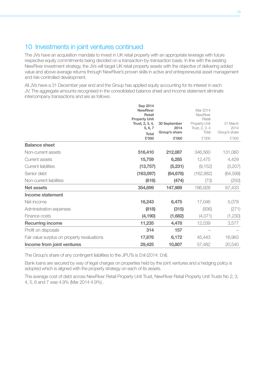## 10 Investments in joint ventures continued

The JVs have an acquisition mandate to invest in UK retail property with an appropriate leverage with future respective equity commitments being decided on a transaction-by-transaction basis. In line with the existing NewRiver investment strategy, the JVs will target UK retail property assets with the objective of delivering added value and above average returns through NewRiver's proven skills in active and entrepreneurial asset management and risk-controlled development.

All JVs have a 31 December year end and the Group has applied equity accounting for its interest in each JV. The aggregate amounts recognised in the consolidated balance sheet and income statement eliminate intercompany transactions and are as follows:

|                                             | Sep 2014<br><b>NewRiver</b><br>Retail<br><b>Property Unit</b><br>Trust, 2, 3, 4,<br>5, 6, 7<br>Total | 30 September<br>2014<br>Group's share | Mar 2014<br>NewRiver<br>Retail<br>Property Unit<br>Trust, 2, 3, 4<br>Total | 31 March<br>2014<br>Group's share |
|---------------------------------------------|------------------------------------------------------------------------------------------------------|---------------------------------------|----------------------------------------------------------------------------|-----------------------------------|
|                                             | £'000                                                                                                | £'000                                 | £'000                                                                      | £'000                             |
| <b>Balance sheet</b>                        |                                                                                                      |                                       |                                                                            |                                   |
| Non-current assets                          | 516,410                                                                                              | 212,087                               | 346,560                                                                    | 131,060                           |
| Current assets                              | 15,759                                                                                               | 6,285                                 | 12,475                                                                     | 4,429                             |
| Current liabilities                         | (13, 757)                                                                                            | (5,231)                               | (9, 152)                                                                   | (3,207)                           |
| Senior debt                                 | (163,097)                                                                                            | (64, 678)                             | (162, 882)                                                                 | (64, 599)                         |
| Non-current liabilities                     | (616)                                                                                                | (474)                                 | (73)                                                                       | (250)                             |
| Net assets                                  | 354,699                                                                                              | 147,989                               | 186,928                                                                    | 67,433                            |
| Income statement                            |                                                                                                      |                                       |                                                                            |                                   |
| Net income                                  | 16,243                                                                                               | 6,475                                 | 17,046                                                                     | 5,078                             |
| Administration expenses                     | (818)                                                                                                | (315)                                 | (936)                                                                      | (271)                             |
| Finance costs                               | (4, 190)                                                                                             | (1,682)                               | (4,071)                                                                    | (1,230)                           |
| Recurring income                            | 11,235                                                                                               | 4,478                                 | 12,039                                                                     | 3,577                             |
| Profit on disposals                         | 314                                                                                                  | 157                                   |                                                                            |                                   |
| Fair value surplus on property revaluations | 17,876                                                                                               | 6,172                                 | 45,443                                                                     | 16,963                            |
| Income from joint ventures                  | 29,425                                                                                               | 10,807                                | 57,482                                                                     | 20,540                            |

The Group's share of any contingent liabilities to the JPUTs is £nil (2014: £nil).

Bank loans are secured by way of legal charges on properties held by the joint ventures and a hedging policy is adopted which is aligned with the property strategy on each of its assets.

The average cost of debt across NewRiver Retail Property Unit Trust, NewRiver Retail Property Unit Trusts No 2, 3, 4, 5, 6 and 7 was 4.9% (Mar 2014 4.9%) .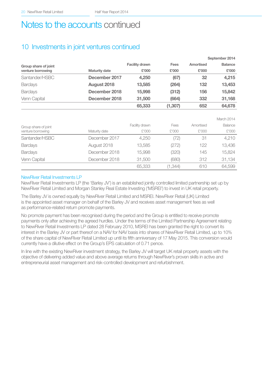## 10 Investments in joint ventures continued

|                      |               |                |          |           | September 2014 |
|----------------------|---------------|----------------|----------|-----------|----------------|
| Group share of joint |               | Facility drawn | Fees     | Amortised | Balance        |
| venture borrowing    | Maturity date | £'000          | £'000    | £'000     | £'000          |
| Santander/HSBC       | December 2017 | 4,250          | (67)     | 32        | 4,215          |
| <b>Barclays</b>      | August 2018   | 13,585         | (264)    | 132       | 13,453         |
| <b>Barclays</b>      | December 2018 | 15,998         | (312)    | 156       | 15,842         |
| Venn Capital         | December 2018 | 31,500         | (664)    | 332       | 31,168         |
|                      |               | 65,333         | (1, 307) | 652       | 64,678         |
|                      |               |                |          |           |                |
|                      |               |                |          |           | March 2014     |
| Group share of joint |               | Facility drawn | Fees     | Amortised | Balance        |
| venture borrowing    | Maturity date | £'000          | £'000    | £'000     | £'000          |
| Santander/HSBC       | December 2017 | 4,250          | (72)     | 31        | 4,210          |
| <b>Barclays</b>      | August 2018   | 13,585         | (272)    | 122       | 13,436         |
| <b>Barclays</b>      | December 2018 | 15,998         | (320)    | 145       | 15,824         |
| Venn Capital         | December 2018 | 31,500         | (680)    | 312       | 31,134         |
|                      |               | 65,333         | (1,344)  | 610       | 64.599         |

#### NewRiver Retail Investments LP

NewRiver Retail Investments LP (the 'Barley JV') is an established jointly controlled limited partnership set up by NewRiver Retail Limited and Morgan Stanley Real Estate Investing ('MSREI') to invest in UK retail property.

The Barley JV is owned equally by NewRiver Retail Limited and MSREI. NewRiver Retail (UK) Limited is the appointed asset manager on behalf of the Barley JV and receives asset management fees as well as performance-related return promote payments.

No promote payment has been recognised during the period and the Group is entitled to receive promote payments only after achieving the agreed hurdles. Under the terms of the Limited Partnership Agreement relating to NewRiver Retail Investments LP dated 28 February 2010, MSREI has been granted the right to convert its interest in the Barley JV or part thereof on a NAV for NAV basis into shares of NewRiver Retail Limited, up to 10% of the share capital of NewRiver Retail Limited up until its fifth anniversary of 17 May 2015. This conversion would currently have a dilutive effect on the Group's EPS calculation of 0.71 pence.

In line with the existing NewRiver investment strategy, the Barley JV will target UK retail property assets with the objective of delivering added value and above average returns through NewRiver's proven skills in active and entrepreneurial asset management and risk-controlled development and refurbishment.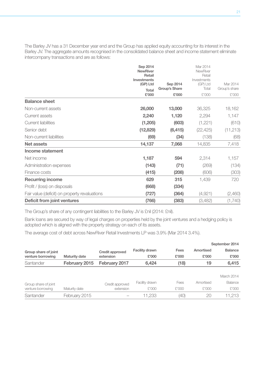The Barley JV has a 31 December year end and the Group has applied equity accounting for its interest in the Barley JV. The aggregate amounts recognised in the consolidated balance sheet and income statement eliminate intercompany transactions and are as follows:

|                                               | Sep 2014<br><b>NewRiver</b> |               | Mar 2014<br>NewRiver    |               |
|-----------------------------------------------|-----------------------------|---------------|-------------------------|---------------|
|                                               | Retail                      |               | Retail                  |               |
|                                               | Investments<br>(GP) Ltd     | Sep 2014      | Investments<br>(GP) Ltd | Mar 2014      |
|                                               | Total                       | Group's Share | Total                   | Group's share |
|                                               | £'000                       | £'000         | £'000                   | £'000         |
| <b>Balance sheet</b>                          |                             |               |                         |               |
| Non-current assets                            | 26,000                      | 13,000        | 36,325                  | 18,162        |
| Current assets                                | 2,240                       | 1,120         | 2,294                   | 1,147         |
| Current liabilities                           | (1,205)                     | (603)         | (1,221)                 | (610)         |
| Senior debt                                   | (12, 829)                   | (6, 415)      | (22, 425)               | (11, 213)     |
| Non-current liabilities                       | (69)                        | (34)          | (138)                   | (68)          |
| Net assets                                    | 14,137                      | 7,068         | 14,835                  | 7,418         |
| Income statement                              |                             |               |                         |               |
| Net income                                    | 1,187                       | 594           | 2,314                   | 1,157         |
| Administration expenses                       | (143)                       | (71)          | (269)                   | (134)         |
| Finance costs                                 | (415)                       | (208)         | (606)                   | (303)         |
| <b>Recurring income</b>                       | 629                         | 315           | 1.439                   | 720           |
| Profit / (loss) on disposals                  | (668)                       | (334)         |                         |               |
| Fair value (deficit) on property revaluations | (727)                       | (364)         | (4,921)                 | (2,460)       |
| Deficit from joint ventures                   | (766)                       | (383)         | (3,482)                 | (1,740)       |

The Group's share of any contingent liabilities to the Barley JV is £nil (2014: £nil).

Bank loans are secured by way of legal charges on properties held by the joint ventures and a hedging policy is adopted which is aligned with the property strategy on each of its assets.

The average cost of debt across NewRiver Retail Investments LP was 3.9% (Mar 2014 3.4%).

|                      |               |                 |                |       |           | September 2014 |
|----------------------|---------------|-----------------|----------------|-------|-----------|----------------|
| Group share of joint |               | Credit approved | Facility drawn | Fees  | Amortised | <b>Balance</b> |
| venture borrowing    | Maturity date | extension       | £'000          | £'000 | £'000     | £'000          |
| Santander            | February 2015 | February 2017   | 6.424          | (18)  | 19        | 6,415          |
|                      |               |                 |                |       |           |                |
|                      |               |                 |                |       |           | March 2014     |
| Group share of joint |               | Credit approved | Facility drawn | Fees  | Amortised | <b>Balance</b> |
| venture borrowing    | Maturity date | extension       | £'000          | £'000 | £'000     | £'000          |
| Santander            | February 2015 |                 | 11.233         | (40)  | 20        | 11.213         |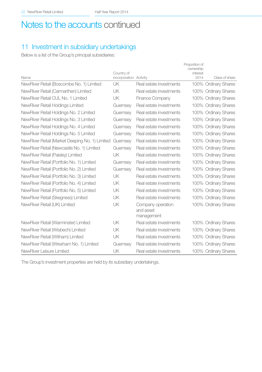## 11 Investment in subsidiary undertakings

Below is a list of the Group's principal subsidiaries:

|                                                |                        |                                              | Proportion of<br>ownership |                      |
|------------------------------------------------|------------------------|----------------------------------------------|----------------------------|----------------------|
|                                                | Country of             |                                              | interest                   |                      |
| Name                                           | incorporation Activity |                                              | 2014                       | Class of share       |
| NewRiver Retail (Boscombe No. 1) Limited       | l JK                   | Real estate investments                      |                            | 100% Ordinary Shares |
| NewRiver Retail (Carmarthen) Limited           | UK                     | Real estate investments                      |                            | 100% Ordinary Shares |
| NewRiver Retail CUL No. 1 Limited              | UK                     | Finance Company                              |                            | 100% Ordinary Shares |
| NewRiver Retail Holdings Limited               | Guernsey               | Real estate investments                      |                            | 100% Ordinary Shares |
| NewRiver Retail Holdings No. 2 Limited         | Guernsey               | Real estate investments                      |                            | 100% Ordinary Shares |
| NewRiver Retail Holdings No. 3 Limited         | Guernsey               | Real estate investments                      |                            | 100% Ordinary Shares |
| NewRiver Retail Holdings No. 4 Limited         | Guernsev               | Real estate investments                      |                            | 100% Ordinary Shares |
| NewRiver Retail Holdings No. 5 Limited         | Guernsev               | Real estate investments                      |                            | 100% Ordinary Shares |
| NewRiver Retail (Market Deeping No. 1) Limited | Guernsey               | Real estate investments                      |                            | 100% Ordinary Shares |
| NewRiver Retail (Newcastle No. 1) Limited      | Guernsey               | Real estate investments                      |                            | 100% Ordinary Shares |
| NewRiver Retail (Paisley) Limited              | UK                     | Real estate investments                      |                            | 100% Ordinary Shares |
| NewRiver Retail (Portfolio No. 1) Limited      | Guernsey               | Real estate investments                      |                            | 100% Ordinary Shares |
| NewRiver Retail (Portfolio No. 2) Limited      | Guernsey               | Real estate investments                      |                            | 100% Ordinary Shares |
| NewRiver Retail (Portfolio No. 3) Limited      | UK                     | Real estate investments                      |                            | 100% Ordinary Shares |
| NewRiver Retail (Portfolio No. 4) Limited      | UK                     | Real estate investments                      |                            | 100% Ordinary Shares |
| NewRiver Retail (Portfolio No. 5) Limited      | UK                     | Real estate investments                      |                            | 100% Ordinary Shares |
| NewRiver Retail (Skegness) Limited             | UK                     | Real estate investments                      |                            | 100% Ordinary Shares |
| NewRiver Retail (UK) Limited                   | UK                     | Company operation<br>and asset<br>management |                            | 100% Ordinary Shares |
| NewRiver Retail (Warminster) Limited           | UK                     | Real estate investments                      |                            | 100% Ordinary Shares |
| NewRiver Retail (Wisbech) Limited              | UK                     | Real estate investments                      |                            | 100% Ordinary Shares |
| NewRiver Retail (Witham) Limited               | UK                     | Real estate investments                      |                            | 100% Ordinary Shares |
| NewRiver Retail (Wrexham No. 1) Limited        | Guernsey               | Real estate investments                      |                            | 100% Ordinary Shares |
| NewRiver Leisure Limited                       | UK                     | Real estate investments                      |                            | 100% Ordinary Shares |

The Group's investment properties are held by its subsidiary undertakings.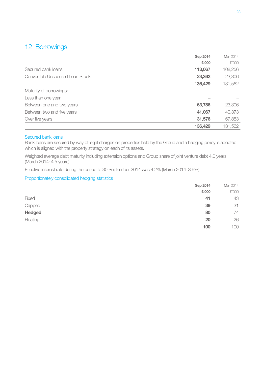## 12 Borrowings

|                                  | Sep 2014 | Mar 2014 |
|----------------------------------|----------|----------|
|                                  | £'000    | £'000    |
| Secured bank loans               | 113,067  | 108,256  |
| Convertible Unsecured Loan Stock | 23,362   | 23,306   |
|                                  | 136,429  | 131,562  |
| Maturity of borrowings:          |          |          |
| Less than one year               |          |          |
| Between one and two years        | 63,786   | 23,306   |
| Between two and five years       | 41,067   | 40,373   |
| Over five years                  | 31,576   | 67,883   |
|                                  | 136,429  | 131,562  |

#### Secured bank loans

Bank loans are secured by way of legal charges on properties held by the Group and a hedging policy is adopted which is aligned with the property strategy on each of its assets.

Weighted average debt maturity including extension options and Group share of joint venture debt 4.0 years (March 2014: 4.5 years).

Effective interest rate during the period to 30 September 2014 was 4.2% (March 2014: 3.9%).

#### Proportionately consolidated hedging statistics

|          | Sep 2014 | Mar 2014 |
|----------|----------|----------|
|          | £'000    | £'000    |
| Fixed    | 41       | 43       |
| Capped   | 39       | 31       |
| Hedged   | 80       | 74       |
| Floating | 20       | 26       |
|          | 100      | 100      |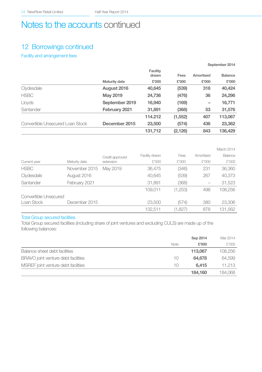## 12 Borrowings continued

#### Facility and arrangement fees

|                                  |                      |                   |          |           | September 2014 |
|----------------------------------|----------------------|-------------------|----------|-----------|----------------|
|                                  |                      | Facility<br>drawn | Fees     | Amortised | Balance        |
|                                  | <b>Maturity date</b> | £'000             | £'000    | £'000     | £'000          |
| Clydesdale                       | August 2016          | 40,645            | (539)    | 318       | 40,424         |
| <b>HSBC</b>                      | <b>May 2019</b>      | 24,736            | (476)    | 36        | 24,296         |
| Lloyds                           | September 2019       | 16.940            | (169)    | -         | 16,771         |
| Santander                        | February 2021        | 31,891            | (368)    | 53        | 31,576         |
|                                  |                      | 114.212           | (1, 552) | 407       | 113,067        |
| Convertible Unsecured Loan Stock | December 2015        | 23,500            | (574)    | 436       | 23,362         |
|                                  |                      | 131,712           | (2, 126) | 843       | 136,429        |
|                                  |                      |                   |          |           |                |

|                       |               |                 |                |         |           | March 2014 |
|-----------------------|---------------|-----------------|----------------|---------|-----------|------------|
|                       |               | Credit approved | Facility drawn | Fees    | Amortised | Balance    |
| Current year          | Maturity date | extension       | £'000          | £'000   | £'000     | £'000      |
| <b>HSBC</b>           | November 2015 | May 2019        | 36,475         | (346)   | 231       | 36,360     |
| Clydesdale            | August 2016   |                 | 40,645         | (539)   | 267       | 40,373     |
| Santander             | February 2021 |                 | 31,891         | (368)   |           | 31,523     |
|                       |               |                 | 109.011        | (1,253) | 498       | 108.256    |
| Convertible Unsecured |               |                 |                |         |           |            |
| Loan Stock            | December 2015 |                 | 23,500         | (574)   | 380       | 23,306     |
|                       |               |                 | 132.511        | (1,827) | 878       | 131.562    |

#### Total Group secured facilities

Total Group secured facilities (including share of joint ventures and excluding CULS) are made up of the following balances:

|                                     |           | Sep 2014 | Mar 2014 |
|-------------------------------------|-----------|----------|----------|
|                                     | Note      | £'000    | £'000    |
| Balance sheet debt facilities       |           | 113,067  | 108,256  |
| BRAVO joint venture debt facilities | $10^{-1}$ | 64,678   | 64.599   |
| MSREF joint venture debt facilities | 10        | 6.415    | 11.213   |
|                                     |           | 184.160  | 184.068  |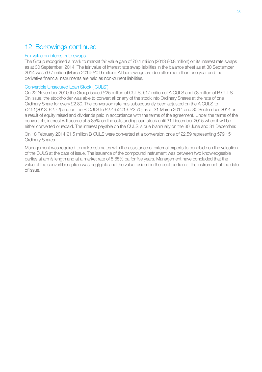## 12 Borrowings continued

#### Fair value on interest rate swaps

The Group recognised a mark to market fair value gain of £0.1 million (2013 £0.8 million) on its interest rate swaps as at 30 September 2014. The fair value of interest rate swap liabilities in the balance sheet as at 30 September 2014 was £0.7 million (March 2014: £0.9 million). All borrowings are due after more than one year and the derivative financial instruments are held as non-current liabilities.

#### Convertible Unsecured Loan Stock ('CULS')

On 22 November 2010 the Group issued £25 million of CULS, £17 million of A CULS and £8 million of B CULS. On issue, the stockholder was able to convert all or any of the stock into Ordinary Shares at the rate of one Ordinary Share for every £2.80. The conversion rate has subsequently been adjusted on the A CULS to £2.51(2013: £2.72) and on the B CULS to £2.49 (2013: £2.70) as at 31 March 2014 and 30 September 2014 as a result of equity raised and dividends paid in accordance with the terms of the agreement. Under the terms of the convertible, interest will accrue at 5.85% on the outstanding loan stock until 31 December 2015 when it will be either converted or repaid. The interest payable on the CULS is due biannually on the 30 June and 31 December.

On 18 February 2014 £1.5 million B CULS were converted at a conversion price of £2.59 representing 579,151 Ordinary Shares.

Management was required to make estimates with the assistance of external experts to conclude on the valuation of the CULS at the date of issue. The issuance of the compound instrument was between two knowledgeable parties at arm's length and at a market rate of 5.85% pa for five years. Management have concluded that the value of the convertible option was negligible and the value resided in the debt portion of the instrument at the date of issue.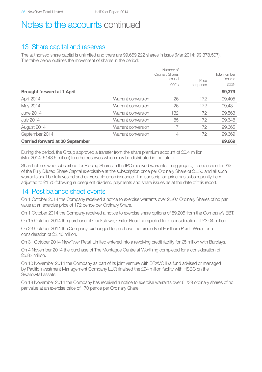## 13 Share capital and reserves

The authorised share capital is unlimited and there are 99,669,222 shares in issue (Mar 2014: 99,378,507). The table below outlines the movement of shares in the period:

|                                   |                    | Number of<br><b>Ordinary Shares</b><br>issued |                    | Total number<br>of shares |
|-----------------------------------|--------------------|-----------------------------------------------|--------------------|---------------------------|
|                                   |                    | $000$ 's                                      | Price<br>per pence | 000's                     |
| <b>Brought forward at 1 April</b> |                    |                                               |                    | 99,379                    |
| April 2014                        | Warrant conversion | 26                                            | 172                | 99,405                    |
| May 2014                          | Warrant conversion | 26                                            | 172                | 99,431                    |
| June 2014                         | Warrant conversion | 132                                           | 172                | 99,563                    |
| <b>July 2014</b>                  | Warrant conversion | 85                                            | 172                | 99,648                    |
| August 2014                       | Warrant conversion | 17                                            | 172                | 99,665                    |
| September 2014                    | Warrant conversion | 4                                             | 172                | 99,669                    |
| Carried forward at 30 September   |                    |                                               |                    | 99,669                    |

During the period, the Group approved a transfer from the share premium account of £0.4 million (Mar 2014: £148.5 million) to other reserves which may be distributed in the future.

Shareholders who subscribed for Placing Shares in the IPO received warrants, in aggregate, to subscribe for 3% of the Fully Diluted Share Capital exercisable at the subscription price per Ordinary Share of £2.50 and all such warrants shall be fully vested and exercisable upon issuance. The subscription price has subsequently been adjusted to £1.70 following subsequent dividend payments and share issues as at the date of this report.

### 14 Post balance sheet events

On 1 October 2014 the Company received a notice to exercise warrants over 2,207 Ordinary Shares of no par value at an exercise price of 172 pence per Ordinary Share.

On 1 October 2014 the Company received a notice to exercise share options of 89,205 from the Company's EBT.

On 15 October 2014 the purchase of Cookstown, Orriter Road completed for a consideration of £3.04 million.

On 23 October 2014 the Company exchanged to purchase the property of Eastham Point, Wirral for a consideration of £2.40 million.

On 31 October 2014 NewRiver Retail Limited entered into a revolving credit facility for £5 million with Barclays.

On 4 November 2014 the purchase of The Montague Centre at Worthing completed for a consideration of £5.82 million.

On 10 November 2014 the Company as part of its joint venture with BRAVO II (a fund advised or managed by Pacific Investment Management Company LLC) finalised the £94 million facility with HSBC on the Swallowtail assets.

On 18 November 2014 the Company has received a notice to exercise warrants over 6,239 ordinary shares of no par value at an exercise price of 170 pence per Ordinary Share.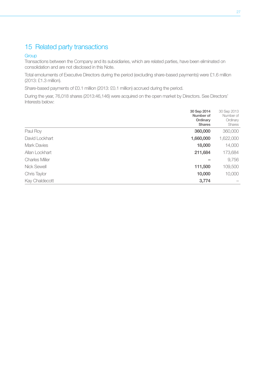## 15 Related party transactions

#### **Group**

Transactions between the Company and its subsidiaries, which are related parties, have been eliminated on consolidation and are not disclosed in this Note.

Total emoluments of Executive Directors during the period (excluding share-based payments) were £1.6 million (2013: £1.3 million).

Share-based payments of £0.1 million (2013: £0.1 million) accrued during the period.

During the year, 76,018 shares (2013:46,146) were acquired on the open market by Directors. See Directors' Interests below:

|                       | 30 Sep 2014<br>Number of<br>Ordinary<br><b>Shares</b> | 30 Sep 2013<br>Number of<br>Ordinary<br><b>Shares</b> |
|-----------------------|-------------------------------------------------------|-------------------------------------------------------|
| Paul Roy              | 360,000                                               | 360,000                                               |
| David Lockhart        | 1,660,000                                             | 1,622,000                                             |
| Mark Davies           | 18,000                                                | 14,000                                                |
| Allan Lockhart        | 211,684                                               | 173,684                                               |
| <b>Charles Miller</b> |                                                       | 9,756                                                 |
| Nick Sewell           | 111,500                                               | 109,500                                               |
| Chris Taylor          | 10,000                                                | 10,000                                                |
| Kay Chaldecott        | 3,774                                                 |                                                       |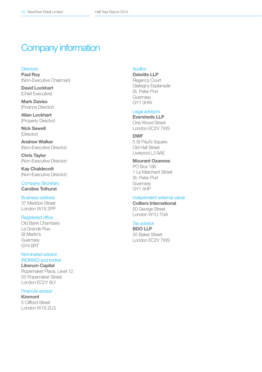# Company information

#### **Directors**

Paul Roy (Non-Executive Chairman)

David Lockhart (Chief Executive)

Mark Davies (Finance Director)

Allan Lockhart (Property Director)

Nick Sewell (Director)

Andrew Walker (Non-Executive Director)

Chris Taylor (Non-Executive Director)

Kay Chaldecott (Non-Executive Director)

Company Secretary Caroline Tolhurst

Business address 37 Maddox Street London W1S 2PP

Registered office Old Bank Chambers La Grande Rue

St Martin's **Guernsey** GY4 6RT

#### Nominated advisor (NOMAD) and broker

Liberum Capital Ropemaker Place, Level 12 25 Ropemaker Street London EC<sub>2Y</sub> 9LY

#### Financial advisor

Kinmont 5 Clifford Street London W1S 2LG

#### Auditor

Deloitte LLP Regency Court Glategny Esplanade St. Peter Port Guernsey

#### Legal advisors

GY1 3HW

Eversheds LLP One Wood Street London EC2V 7WS

DWF 5 St Paul's Square Old Hall Street Liverpool L3 9AE

Mourant Ozannes PO Box 186 1 Le Marchant Street St. Peter Port **Guernsey** GY1 4HP

#### Independent external valuer

Colliers International 50 George Street London W1U 7GA

#### Tax advisor

BDO LLP 55 Baker Street London EC2V 7WS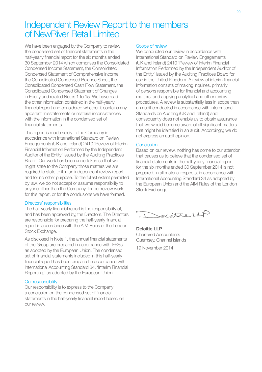## Independent Review Report to the members of NewRiver Retail Limited

We have been engaged by the Company to review the condensed set of financial statements in the half-yearly financial report for the six months ended 30 September 2014 which comprises the Consolidated Condensed Income Statement, the Consolidated Condensed Statement of Comprehensive Income, the Consolidated Condensed Balance Sheet, the Consolidated Condensed Cash Flow Statement, the Consolidated Condensed Statement of Changes in Equity and related Notes 1 to 15. We have read the other information contained in the half-yearly financial report and considered whether it contains any apparent misstatements or material inconsistencies with the information in the condensed set of financial statements.

This report is made solely to the Company in accordance with International Standard on Review Engagements (UK and Ireland) 2410 'Review of Interim Financial Information Performed by the Independent Auditor of the Entity' issued by the Auditing Practices Board. Our work has been undertaken so that we might state to the Company those matters we are required to state to it in an independent review report and for no other purpose. To the fullest extent permitted by law, we do not accept or assume responsibility to anyone other than the Company, for our review work, for this report, or for the conclusions we have formed.

#### Directors' responsibilities

The half-yearly financial report is the responsibility of, and has been approved by, the Directors. The Directors are responsible for preparing the half-yearly financial report in accordance with the AIM Rules of the London Stock Exchange.

As disclosed in Note 1, the annual financial statements of the Group are prepared in accordance with IFRSs as adopted by the European Union. The condensed set of financial statements included in this half-yearly financial report has been prepared in accordance with International Accounting Standard 34, 'Interim Financial Reporting,' as adopted by the European Union.

#### Our responsibility

Our responsibility is to express to the Company a conclusion on the condensed set of financial statements in the half-yearly financial report based on our review.

#### Scope of review

We conducted our review in accordance with International Standard on Review Engagements (UK and Ireland) 2410 'Review of Interim Financial Information Performed by the Independent Auditor of the Entity' issued by the Auditing Practices Board for use in the United Kingdom. A review of interim financial information consists of making inquiries, primarily of persons responsible for financial and accounting matters, and applying analytical and other review procedures. A review is substantially less in scope than an audit conducted in accordance with International Standards on Auditing (UK and Ireland) and consequently does not enable us to obtain assurance that we would become aware of all significant matters that might be identified in an audit. Accordingly, we do not express an audit opinion.

#### Conclusion

Based on our review, nothing has come to our attention that causes us to believe that the condensed set of financial statements in the half-yearly financial report for the six months ended 30 September 2014 is not prepared, in all material respects, in accordance with International Accounting Standard 34 as adopted by the European Union and the AIM Rules of the London Stock Exchange.

elatte LLP

Deloitte LLP Chartered Accountants Guernsey, Channel Islands

19 November 2014